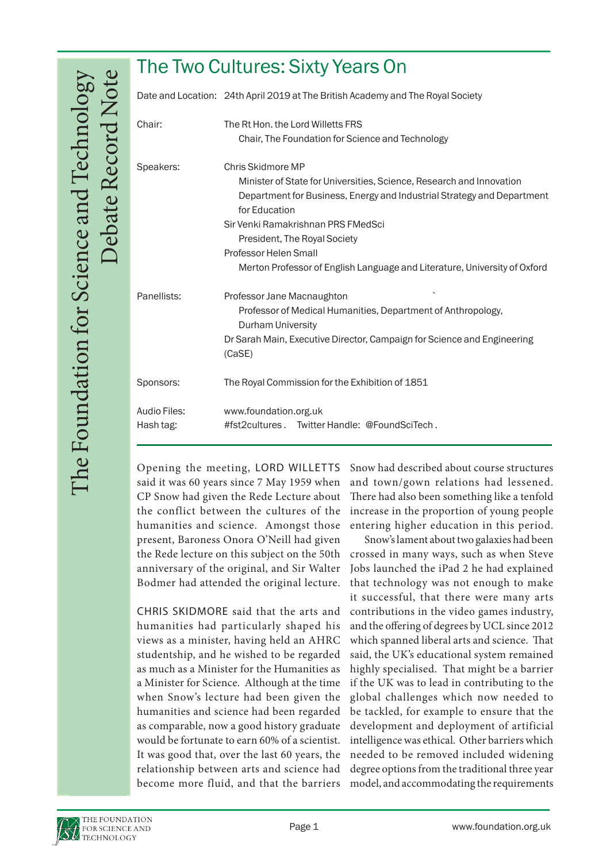| The Two Cultures: Sixty Years On |                                                                                                                                                                                                                                                                                                                                                                  |
|----------------------------------|------------------------------------------------------------------------------------------------------------------------------------------------------------------------------------------------------------------------------------------------------------------------------------------------------------------------------------------------------------------|
|                                  | Date and Location: 24th April 2019 at The British Academy and The Royal Society                                                                                                                                                                                                                                                                                  |
| Chair:                           | The Rt Hon, the Lord Willetts FRS<br>Chair, The Foundation for Science and Technology                                                                                                                                                                                                                                                                            |
| Speakers:                        | Chris Skidmore MP<br>Minister of State for Universities, Science, Research and Innovation<br>Department for Business, Energy and Industrial Strategy and Department<br>for Education<br>Sir Venki Ramakrishnan PRS FMedSci<br>President, The Royal Society<br>Professor Helen Small<br>Merton Professor of English Language and Literature, University of Oxford |
| Panellists:                      | Professor Jane Macnaughton<br>Professor of Medical Humanities, Department of Anthropology,<br><b>Durham University</b><br>Dr Sarah Main, Executive Director, Campaign for Science and Engineering<br>(CaSE)                                                                                                                                                      |
| Sponsors:                        | The Royal Commission for the Exhibition of 1851                                                                                                                                                                                                                                                                                                                  |
| Audio Files:<br>Hash tag:        | www.foundation.org.uk<br>#fst2cultures. Twitter Handle: @FoundSciTech.                                                                                                                                                                                                                                                                                           |

Opening the meeting, LORD WILLETTS said it was 60 years since 7 May 1959 when CP Snow had given the Rede Lecture about the conflict between the cultures of the humanities and science. Amongst those present, Baroness Onora O'Neill had given the Rede lecture on this subject on the 50th anniversary of the original, and Sir Walter Bodmer had attended the original lecture.

CHRIS SKIDMORE said that the arts and humanities had particularly shaped his views as a minister, having held an AHRC studentship, and he wished to be regarded as much as a Minister for the Humanities as a Minister for Science. Although at the time when Snow's lecture had been given the humanities and science had been regarded as comparable, now a good history graduate would be fortunate to earn 60% of a scientist. It was good that, over the last 60 years, the relationship between arts and science had become more fluid, and that the barriers Snow had described about course structures and town/gown relations had lessened. There had also been something like a tenfold increase in the proportion of young people entering higher education in this period.

Snow's lament about two galaxies had been crossed in many ways, such as when Steve Jobs launched the iPad 2 he had explained that technology was not enough to make it successful, that there were many arts contributions in the video games industry, and the offering of degrees by UCL since 2012 which spanned liberal arts and science. That said, the UK's educational system remained highly specialised. That might be a barrier if the UK was to lead in contributing to the global challenges which now needed to be tackled, for example to ensure that the development and deployment of artificial intelligence was ethical. Other barriers which needed to be removed included widening degree options from the traditional three year model, and accommodating the requirements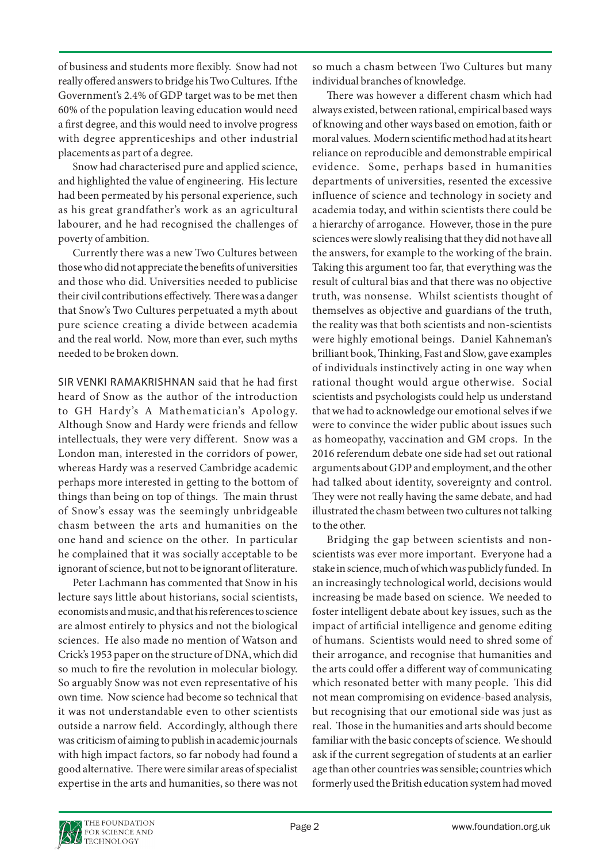of business and students more flexibly. Snow had not really offered answers to bridge his Two Cultures. If the Government's 2.4% of GDP target was to be met then 60% of the population leaving education would need a first degree, and this would need to involve progress with degree apprenticeships and other industrial placements as part of a degree.

Snow had characterised pure and applied science, and highlighted the value of engineering. His lecture had been permeated by his personal experience, such as his great grandfather's work as an agricultural labourer, and he had recognised the challenges of poverty of ambition.

Currently there was a new Two Cultures between those who did not appreciate the benefits of universities and those who did. Universities needed to publicise their civil contributions effectively. There was a danger that Snow's Two Cultures perpetuated a myth about pure science creating a divide between academia and the real world. Now, more than ever, such myths needed to be broken down.

SIR VENKI RAMAKRISHNAN said that he had first heard of Snow as the author of the introduction to GH Hardy's A Mathematician's Apology. Although Snow and Hardy were friends and fellow intellectuals, they were very different. Snow was a London man, interested in the corridors of power, whereas Hardy was a reserved Cambridge academic perhaps more interested in getting to the bottom of things than being on top of things. The main thrust of Snow's essay was the seemingly unbridgeable chasm between the arts and humanities on the one hand and science on the other. In particular he complained that it was socially acceptable to be ignorant of science, but not to be ignorant of literature.

Peter Lachmann has commented that Snow in his lecture says little about historians, social scientists, economists and music, and that his references to science are almost entirely to physics and not the biological sciences. He also made no mention of Watson and Crick's 1953 paper on the structure of DNA, which did so much to fire the revolution in molecular biology. So arguably Snow was not even representative of his own time. Now science had become so technical that it was not understandable even to other scientists outside a narrow field. Accordingly, although there was criticism of aiming to publish in academic journals with high impact factors, so far nobody had found a good alternative. There were similar areas of specialist expertise in the arts and humanities, so there was not so much a chasm between Two Cultures but many individual branches of knowledge.

There was however a different chasm which had always existed, between rational, empirical based ways of knowing and other ways based on emotion, faith or moral values. Modern scientific method had at its heart reliance on reproducible and demonstrable empirical evidence. Some, perhaps based in humanities departments of universities, resented the excessive influence of science and technology in society and academia today, and within scientists there could be a hierarchy of arrogance. However, those in the pure sciences were slowly realising that they did not have all the answers, for example to the working of the brain. Taking this argument too far, that everything was the result of cultural bias and that there was no objective truth, was nonsense. Whilst scientists thought of themselves as objective and guardians of the truth, the reality was that both scientists and non-scientists were highly emotional beings. Daniel Kahneman's brilliant book, Thinking, Fast and Slow, gave examples of individuals instinctively acting in one way when rational thought would argue otherwise. Social scientists and psychologists could help us understand that we had to acknowledge our emotional selves if we were to convince the wider public about issues such as homeopathy, vaccination and GM crops. In the 2016 referendum debate one side had set out rational arguments about GDP and employment, and the other had talked about identity, sovereignty and control. They were not really having the same debate, and had illustrated the chasm between two cultures not talking to the other.

Bridging the gap between scientists and nonscientists was ever more important. Everyone had a stake in science, much of which was publicly funded. In an increasingly technological world, decisions would increasing be made based on science. We needed to foster intelligent debate about key issues, such as the impact of artificial intelligence and genome editing of humans. Scientists would need to shred some of their arrogance, and recognise that humanities and the arts could offer a different way of communicating which resonated better with many people. This did not mean compromising on evidence-based analysis, but recognising that our emotional side was just as real. Those in the humanities and arts should become familiar with the basic concepts of science. We should ask if the current segregation of students at an earlier age than other countries was sensible; countries which formerly used the British education system had moved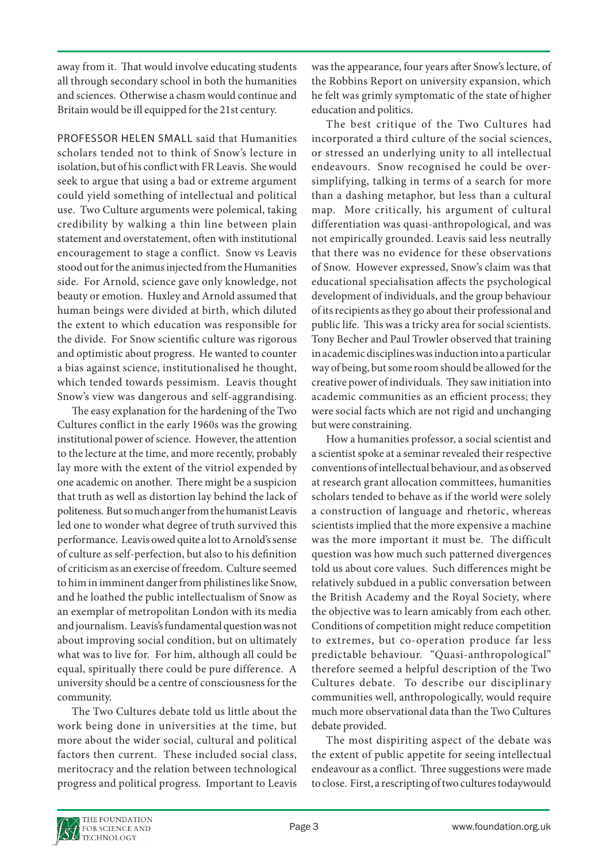away from it. That would involve educating students all through secondary school in both the humanities and sciences. Otherwise a chasm would continue and Britain would be ill equipped for the 21st century.

PROFESSOR HELEN SMALL said that Humanities scholars tended not to think of Snow's lecture in isolation, but of his conflict with FR Leavis. She would seek to argue that using a bad or extreme argument could yield something of intellectual and political use. Two Culture arguments were polemical, taking credibility by walking a thin line between plain statement and overstatement, often with institutional encouragement to stage a conflict. Snow vs Leavis stood out for the animus injected from the Humanities side. For Arnold, science gave only knowledge, not beauty or emotion. Huxley and Arnold assumed that human beings were divided at birth, which diluted the extent to which education was responsible for the divide. For Snow scientific culture was rigorous and optimistic about progress. He wanted to counter a bias against science, institutionalised he thought, which tended towards pessimism. Leavis thought Snow's view was dangerous and self-aggrandising.

The easy explanation for the hardening of the Two Cultures conflict in the early 1960s was the growing institutional power of science. However, the attention to the lecture at the time, and more recently, probably lay more with the extent of the vitriol expended by one academic on another. There might be a suspicion that truth as well as distortion lay behind the lack of politeness. But so much anger from the humanist Leavis led one to wonder what degree of truth survived this performance. Leavis owed quite a lot to Arnold's sense of culture as self-perfection, but also to his definition of criticism as an exercise of freedom. Culture seemed to him in imminent danger from philistines like Snow, and he loathed the public intellectualism of Snow as an exemplar of metropolitan London with its media and journalism. Leavis's fundamental question was not about improving social condition, but on ultimately what was to live for. For him, although all could be equal, spiritually there could be pure difference. A university should be a centre of consciousness for the community.

The Two Cultures debate told us little about the work being done in universities at the time, but more about the wider social, cultural and political factors then current. These included social class, meritocracy and the relation between technological progress and political progress. Important to Leavis

was the appearance, four years after Snow's lecture, of the Robbins Report on university expansion, which he felt was grimly symptomatic of the state of higher education and politics.

The best critique of the Two Cultures had incorporated a third culture of the social sciences, or stressed an underlying unity to all intellectual endeavours. Snow recognised he could be oversimplifying, talking in terms of a search for more than a dashing metaphor, but less than a cultural map. More critically, his argument of cultural differentiation was quasi-anthropological, and was not empirically grounded. Leavis said less neutrally that there was no evidence for these observations of Snow. However expressed, Snow's claim was that educational specialisation affects the psychological development of individuals, and the group behaviour of its recipients as they go about their professional and public life. This was a tricky area for social scientists. Tony Becher and Paul Trowler observed that training in academic disciplines was induction into a particular way of being, but some room should be allowed for the creative power of individuals. They saw initiation into academic communities as an efficient process; they were social facts which are not rigid and unchanging but were constraining.

How a humanities professor, a social scientist and a scientist spoke at a seminar revealed their respective conventions of intellectual behaviour, and as observed at research grant allocation committees, humanities scholars tended to behave as if the world were solely a construction of language and rhetoric, whereas scientists implied that the more expensive a machine was the more important it must be. The difficult question was how much such patterned divergences told us about core values. Such differences might be relatively subdued in a public conversation between the British Academy and the Royal Society, where the objective was to learn amicably from each other. Conditions of competition might reduce competition to extremes, but co-operation produce far less predictable behaviour. "Quasi-anthropological" therefore seemed a helpful description of the Two Cultures debate. To describe our disciplinary communities well, anthropologically, would require much more observational data than the Two Cultures debate provided.

The most dispiriting aspect of the debate was the extent of public appetite for seeing intellectual endeavour as a conflict. Three suggestions were made to close. First, a rescripting of two cultures todaywould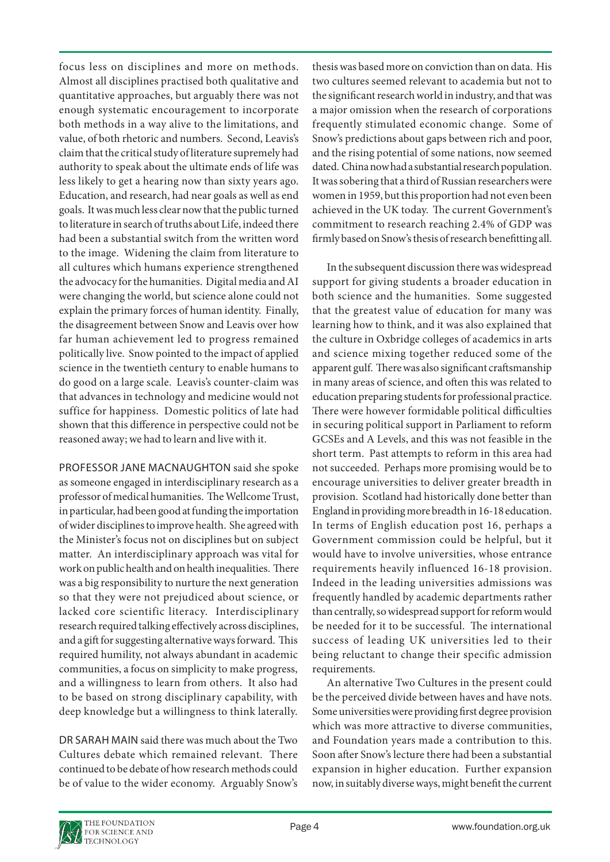focus less on disciplines and more on methods. Almost all disciplines practised both qualitative and quantitative approaches, but arguably there was not enough systematic encouragement to incorporate both methods in a way alive to the limitations, and value, of both rhetoric and numbers. Second, Leavis's claim that the critical study of literature supremely had authority to speak about the ultimate ends of life was less likely to get a hearing now than sixty years ago. Education, and research, had near goals as well as end goals. It was much less clear now that the public turned to literature in search of truths about Life, indeed there had been a substantial switch from the written word to the image. Widening the claim from literature to all cultures which humans experience strengthened the advocacy for the humanities. Digital media and AI were changing the world, but science alone could not explain the primary forces of human identity. Finally, the disagreement between Snow and Leavis over how far human achievement led to progress remained politically live. Snow pointed to the impact of applied science in the twentieth century to enable humans to do good on a large scale. Leavis's counter-claim was that advances in technology and medicine would not suffice for happiness. Domestic politics of late had shown that this difference in perspective could not be reasoned away; we had to learn and live with it.

PROFESSOR JANE MACNAUGHTON said she spoke as someone engaged in interdisciplinary research as a professor of medical humanities. The Wellcome Trust, in particular, had been good at funding the importation of wider disciplines to improve health. She agreed with the Minister's focus not on disciplines but on subject matter. An interdisciplinary approach was vital for work on public health and on health inequalities. There was a big responsibility to nurture the next generation so that they were not prejudiced about science, or lacked core scientific literacy. Interdisciplinary research required talking effectively across disciplines, and a gift for suggesting alternative ways forward. This required humility, not always abundant in academic communities, a focus on simplicity to make progress, and a willingness to learn from others. It also had to be based on strong disciplinary capability, with deep knowledge but a willingness to think laterally.

DR SARAH MAIN said there was much about the Two Cultures debate which remained relevant. There continued to be debate of how research methods could be of value to the wider economy. Arguably Snow's thesis was based more on conviction than on data. His two cultures seemed relevant to academia but not to the significant research world in industry, and that was a major omission when the research of corporations frequently stimulated economic change. Some of Snow's predictions about gaps between rich and poor, and the rising potential of some nations, now seemed dated. China now had a substantial research population. It was sobering that a third of Russian researchers were women in 1959, but this proportion had not even been achieved in the UK today. The current Government's commitment to research reaching 2.4% of GDP was firmly based on Snow's thesis of research benefitting all.

In the subsequent discussion there was widespread support for giving students a broader education in both science and the humanities. Some suggested that the greatest value of education for many was learning how to think, and it was also explained that the culture in Oxbridge colleges of academics in arts and science mixing together reduced some of the apparent gulf. There was also significant craftsmanship in many areas of science, and often this was related to education preparing students for professional practice. There were however formidable political difficulties in securing political support in Parliament to reform GCSEs and A Levels, and this was not feasible in the short term. Past attempts to reform in this area had not succeeded. Perhaps more promising would be to encourage universities to deliver greater breadth in provision. Scotland had historically done better than England in providing more breadth in 16-18 education. In terms of English education post 16, perhaps a Government commission could be helpful, but it would have to involve universities, whose entrance requirements heavily influenced 16-18 provision. Indeed in the leading universities admissions was frequently handled by academic departments rather than centrally, so widespread support for reform would be needed for it to be successful. The international success of leading UK universities led to their being reluctant to change their specific admission requirements.

An alternative Two Cultures in the present could be the perceived divide between haves and have nots. Some universities were providing first degree provision which was more attractive to diverse communities, and Foundation years made a contribution to this. Soon after Snow's lecture there had been a substantial expansion in higher education. Further expansion now, in suitably diverse ways, might benefit the current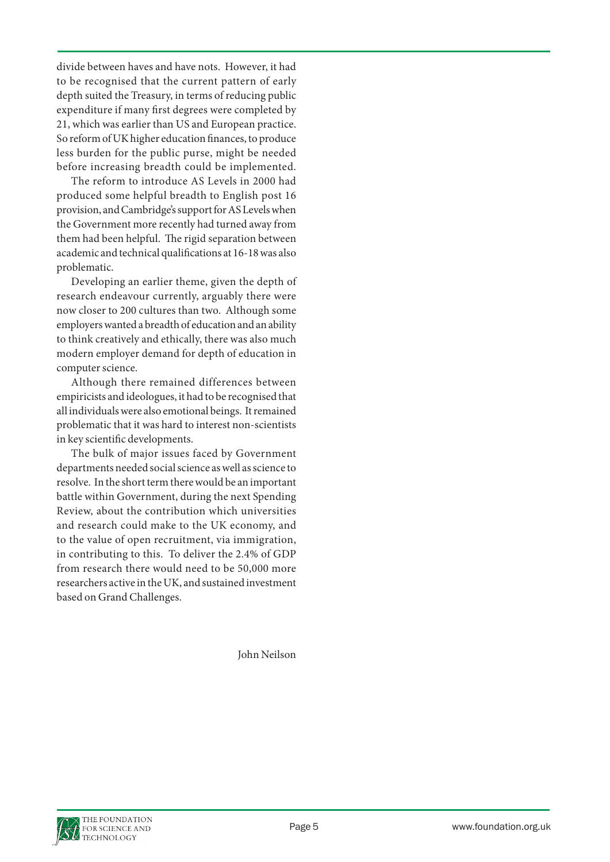divide between haves and have nots. However, it had to be recognised that the current pattern of early depth suited the Treasury, in terms of reducing public expenditure if many first degrees were completed by 21, which was earlier than US and European practice. So reform of UK higher education finances, to produce less burden for the public purse, might be needed before increasing breadth could be implemented.

The reform to introduce AS Levels in 2000 had produced some helpful breadth to English post 16 provision, and Cambridge's support for AS Levels when the Government more recently had turned away from them had been helpful. The rigid separation between academic and technical qualifications at 16-18 was also problematic.

Developing an earlier theme, given the depth of research endeavour currently, arguably there were now closer to 200 cultures than two. Although some employers wanted a breadth of education and an ability to think creatively and ethically, there was also much modern employer demand for depth of education in computer science.

Although there remained differences between empiricists and ideologues, it had to be recognised that all individuals were also emotional beings. It remained problematic that it was hard to interest non-scientists in key scientific developments.

The bulk of major issues faced by Government departments needed social science as well as science to resolve. In the short term there would be an important battle within Government, during the next Spending Review, about the contribution which universities and research could make to the UK economy, and to the value of open recruitment, via immigration, in contributing to this. To deliver the 2.4% of GDP from research there would need to be 50,000 more researchers active in the UK, and sustained investment based on Grand Challenges.

John Neilson